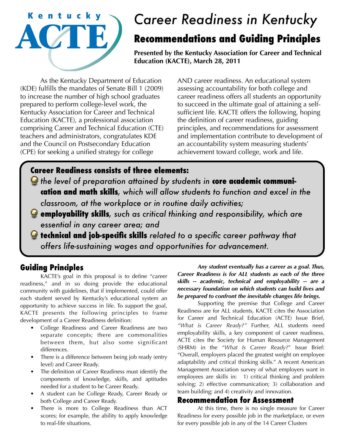

# *Career Readiness in Kentucky*

# **Recommendations and Guiding Principles**

**Presented by the Kentucky Association for Career and Technical Education (KACTE), March 28, 2011**

 As the Kentucky Department of Education (KDE) fulfills the mandates of Senate Bill 1 (2009) to increase the number of high school graduates prepared to perform college-level work, the Kentucky Association for Career and Technical Education (KACTE), a professional association comprising Career and Technical Education (CTE) teachers and administrators, congratulates KDE and the Council on Postsecondary Education (CPE) for seeking a unified strategy for college

AND career readiness. An educational system assessing accountability for both college and career readiness offers all students an opportunity to succeed in the ultimate goal of attaining a selfsufficient life. KACTE offers the following, hoping the definition of career readiness, guiding principles, and recommendations for assessment and implementation contribute to development of an accountability system measuring students' achievement toward college, work and life.

### **Career Readiness consists of three elements:**

- $\bullet$  the level of preparation attained by students in **core academic communication and math skills***, which will allow students to function and excel in the classroom, at the workplace or in routine daily activities;*
- **employability skills***, such as critical thinking and responsibility, which are essential in any career area; and*
- **technical and job-specific skills** *related to a specific career pathway that offers life-sustaining wages and opportunities for advancement.*

## **Guiding Principles**

 KACTE's goal in this proposal is to define "career readiness," and in so doing provide the educational community with guidelines, that if implemented, could offer each student served by Kentucky's educational system an opportunity to achieve success in life. To support the goal, KACTE presents the following principles to frame development of a Career Readiness definition:

- College Readiness and Career Readiness are two separate concepts; there are commonalities between them, but also some significant differences.
- There is a difference between being job ready (entry level) and Career Ready.
- The definition of Career Readiness must identify the components of knowledge, skills, and aptitudes needed for a student to be Career Ready.
- A student can be College Ready, Career Ready or both College and Career Ready.
- There is more to College Readiness than ACT scores; for example, the ability to apply knowledge to real-life situations.

*Any student eventually has a career as a goal. Thus, Career Readiness is for ALL students as each of the three skills -- academic, technical and employability -- are a necessary foundation on which students can build lives and be prepared to confront the inevitable changes life brings.*

 Supporting the premise that College and Career Readiness are for ALL students, KACTE cites the Association for Career and Technical Education (ACTE) Issue Brief, *"What is Career Ready?"* Further, ALL students need employability skills, a key component of career readiness. ACTE cites the Society for Human Resource Management (SHRM) in the *"What Is Career Ready?*" Issue Brief: "Overall, employers placed the greatest weight on employee adaptability and critical thinking skills." A recent American Management Association survey of what employers want in employees are skills in: 1) critical thinking and problem solving; 2) effective communication; 3) collaboration and team building; and 4) creativity and innovation.

#### **Recommendation for Assessment**

 At this time, there is no single measure for Career Readiness for every possible job in the marketplace, or even for every possible job in any of the 14 Career Clusters